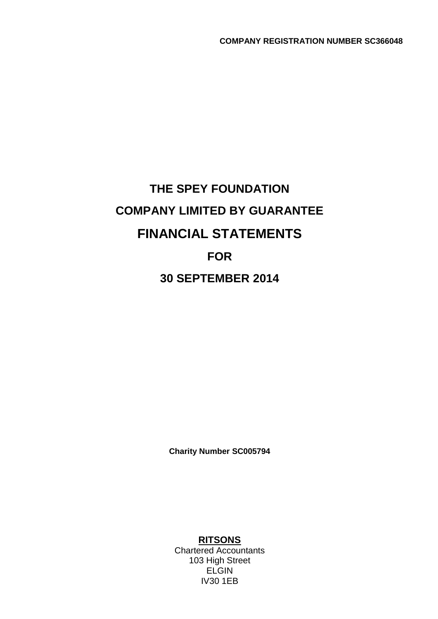# **THE SPEY FOUNDATION COMPANY LIMITED BY GUARANTEE FINANCIAL STATEMENTS FOR 30 SEPTEMBER 2014**

**Charity Number SC005794**

**RITSONS**

Chartered Accountants 103 High Street ELGIN IV30 1EB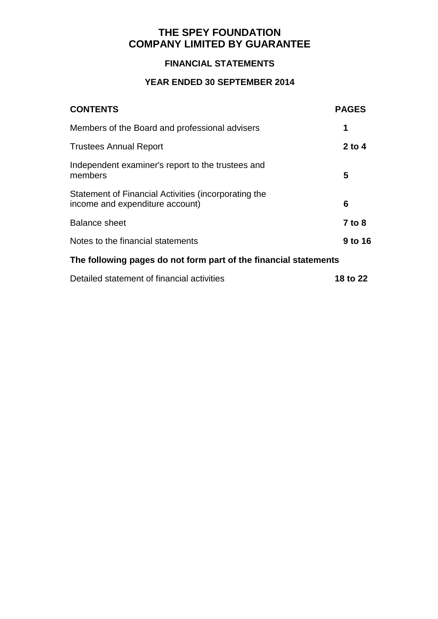### **FINANCIAL STATEMENTS**

| <b>CONTENTS</b>                                                                         | <b>PAGES</b>  |
|-----------------------------------------------------------------------------------------|---------------|
| Members of the Board and professional advisers                                          | 1             |
| <b>Trustees Annual Report</b>                                                           | $2$ to 4      |
| Independent examiner's report to the trustees and<br>members                            | 5             |
| Statement of Financial Activities (incorporating the<br>income and expenditure account) | 6             |
| <b>Balance sheet</b>                                                                    | <b>7 to 8</b> |
| Notes to the financial statements                                                       | 9 to 16       |
| The following pages do not form part of the financial statements                        |               |
| Detailed statement of financial activities                                              | 18 to 22      |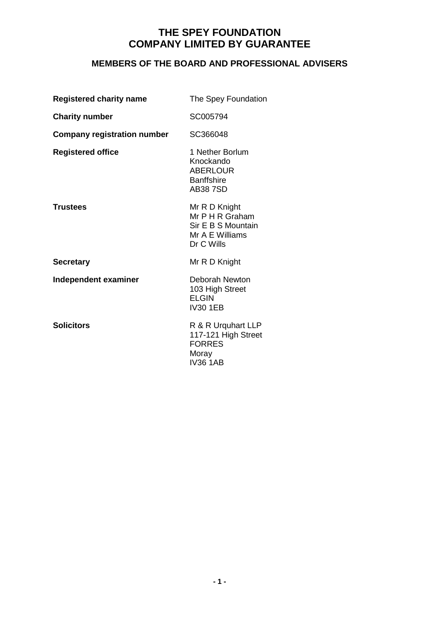# **MEMBERS OF THE BOARD AND PROFESSIONAL ADVISERS**

| <b>Registered charity name</b>     | The Spey Foundation                                                                     |
|------------------------------------|-----------------------------------------------------------------------------------------|
| <b>Charity number</b>              | SC005794                                                                                |
| <b>Company registration number</b> | SC366048                                                                                |
| <b>Registered office</b>           | 1 Nether Borlum<br>Knockando<br><b>ABERLOUR</b><br><b>Banffshire</b><br><b>AB387SD</b>  |
| <b>Trustees</b>                    | Mr R D Knight<br>Mr P H R Graham<br>Sir E B S Mountain<br>Mr A E Williams<br>Dr C Wills |
| <b>Secretary</b>                   | Mr R D Knight                                                                           |
| Independent examiner               | Deborah Newton<br>103 High Street<br><b>ELGIN</b><br><b>IV30 1EB</b>                    |
| <b>Solicitors</b>                  | R & R Urquhart LLP<br>117-121 High Street<br><b>FORRES</b><br>Moray<br><b>IV36 1AB</b>  |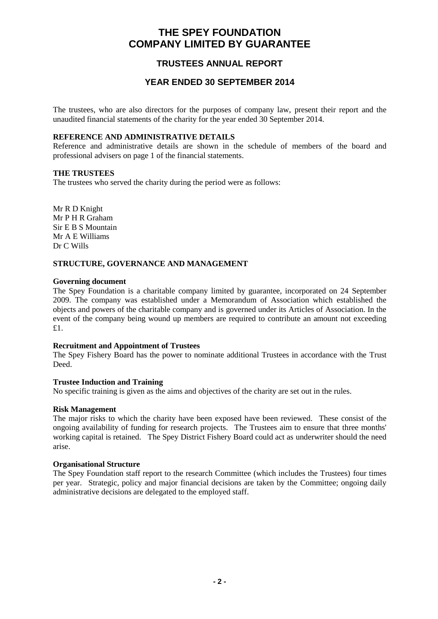### **TRUSTEES ANNUAL REPORT**

### **YEAR ENDED 30 SEPTEMBER 2014**

The trustees, who are also directors for the purposes of company law, present their report and the unaudited financial statements of the charity for the year ended 30 September 2014.

#### **REFERENCE AND ADMINISTRATIVE DETAILS**

Reference and administrative details are shown in the schedule of members of the board and professional advisers on page 1 of the financial statements.

#### **THE TRUSTEES**

The trustees who served the charity during the period were as follows:

Mr R D Knight Mr P H R Graham Sir E B S Mountain Mr A E Williams Dr C Wills

#### **STRUCTURE, GOVERNANCE AND MANAGEMENT**

#### **Governing document**

The Spey Foundation is a charitable company limited by guarantee, incorporated on 24 September 2009. The company was established under a Memorandum of Association which established the objects and powers of the charitable company and is governed under its Articles of Association. In the event of the company being wound up members are required to contribute an amount not exceeding £1.

#### **Recruitment and Appointment of Trustees**

The Spey Fishery Board has the power to nominate additional Trustees in accordance with the Trust Deed.

#### **Trustee Induction and Training**

No specific training is given as the aims and objectives of the charity are set out in the rules.

#### **Risk Management**

The major risks to which the charity have been exposed have been reviewed. These consist of the ongoing availability of funding for research projects. The Trustees aim to ensure that three months' working capital is retained. The Spey District Fishery Board could act as underwriter should the need arise.

#### **Organisational Structure**

The Spey Foundation staff report to the research Committee (which includes the Trustees) four times per year. Strategic, policy and major financial decisions are taken by the Committee; ongoing daily administrative decisions are delegated to the employed staff.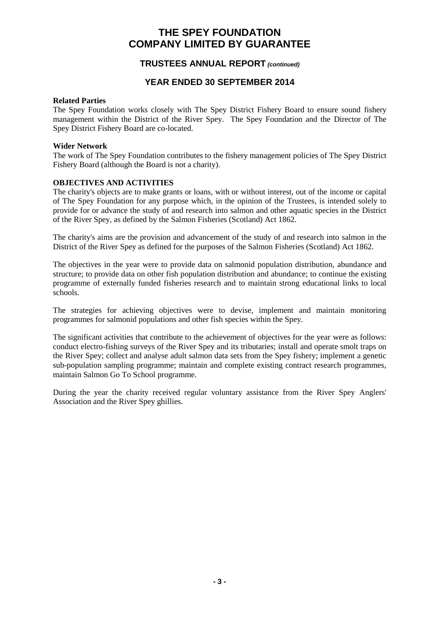### **TRUSTEES ANNUAL REPORT** *(continued)*

### **YEAR ENDED 30 SEPTEMBER 2014**

#### **Related Parties**

The Spey Foundation works closely with The Spey District Fishery Board to ensure sound fishery management within the District of the River Spey. The Spey Foundation and the Director of The Spey District Fishery Board are co-located.

#### **Wider Network**

The work of The Spey Foundation contributes to the fishery management policies of The Spey District Fishery Board (although the Board is not a charity).

#### **OBJECTIVES AND ACTIVITIES**

The charity's objects are to make grants or loans, with or without interest, out of the income or capital of The Spey Foundation for any purpose which, in the opinion of the Trustees, is intended solely to provide for or advance the study of and research into salmon and other aquatic species in the District of the River Spey, as defined by the Salmon Fisheries (Scotland) Act 1862.

The charity's aims are the provision and advancement of the study of and research into salmon in the District of the River Spey as defined for the purposes of the Salmon Fisheries (Scotland) Act 1862.

The objectives in the year were to provide data on salmonid population distribution, abundance and structure; to provide data on other fish population distribution and abundance; to continue the existing programme of externally funded fisheries research and to maintain strong educational links to local schools.

The strategies for achieving objectives were to devise, implement and maintain monitoring programmes for salmonid populations and other fish species within the Spey.

The significant activities that contribute to the achievement of objectives for the year were as follows: conduct electro-fishing surveys of the River Spey and its tributaries; install and operate smolt traps on the River Spey; collect and analyse adult salmon data sets from the Spey fishery; implement a genetic sub-population sampling programme; maintain and complete existing contract research programmes, maintain Salmon Go To School programme.

During the year the charity received regular voluntary assistance from the River Spey Anglers' Association and the River Spey ghillies.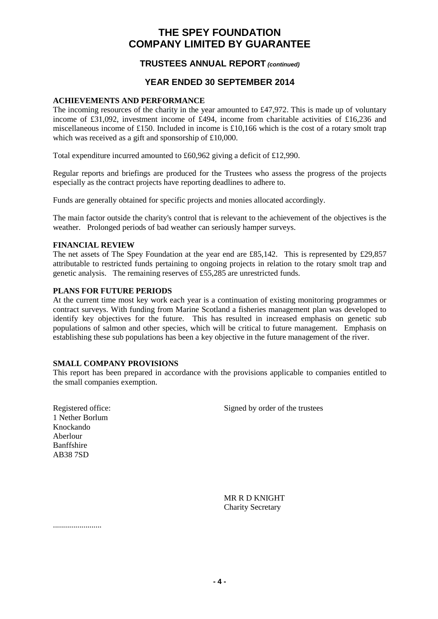### **TRUSTEES ANNUAL REPORT** *(continued)*

### **YEAR ENDED 30 SEPTEMBER 2014**

#### **ACHIEVEMENTS AND PERFORMANCE**

The incoming resources of the charity in the year amounted to  $\text{\pounds}47,972$ . This is made up of voluntary income of £31,092, investment income of £494, income from charitable activities of £16,236 and miscellaneous income of £150. Included in income is £10,166 which is the cost of a rotary smolt trap which was received as a gift and sponsorship of £10,000.

Total expenditure incurred amounted to £60,962 giving a deficit of £12,990.

Regular reports and briefings are produced for the Trustees who assess the progress of the projects especially as the contract projects have reporting deadlines to adhere to.

Funds are generally obtained for specific projects and monies allocated accordingly.

The main factor outside the charity's control that is relevant to the achievement of the objectives is the weather. Prolonged periods of bad weather can seriously hamper surveys.

#### **FINANCIAL REVIEW**

The net assets of The Spey Foundation at the year end are £85,142. This is represented by £29,857 attributable to restricted funds pertaining to ongoing projects in relation to the rotary smolt trap and genetic analysis. The remaining reserves of £55,285 are unrestricted funds.

#### **PLANS FOR FUTURE PERIODS**

At the current time most key work each year is a continuation of existing monitoring programmes or contract surveys. With funding from Marine Scotland a fisheries management plan was developed to identify key objectives for the future. This has resulted in increased emphasis on genetic sub populations of salmon and other species, which will be critical to future management. Emphasis on establishing these sub populations has been a key objective in the future management of the river.

#### **SMALL COMPANY PROVISIONS**

This report has been prepared in accordance with the provisions applicable to companies entitled to the small companies exemption.

Registered office: Signed by order of the trustees

1 Nether Borlum Knockando Aberlour Banffshire AB38 7SD

> MR R D KNIGHT Charity Secretary

........................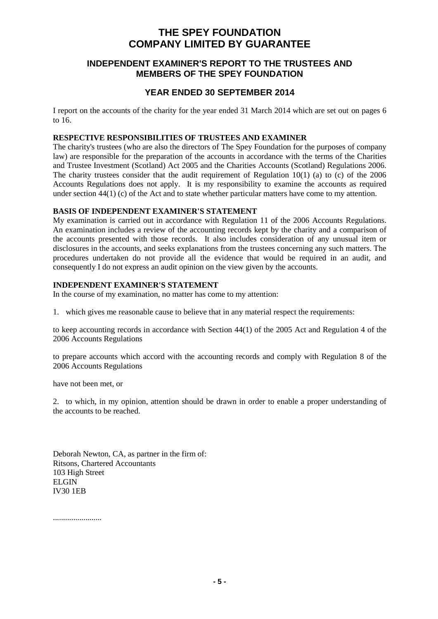### **INDEPENDENT EXAMINER'S REPORT TO THE TRUSTEES AND MEMBERS OF THE SPEY FOUNDATION**

### **YEAR ENDED 30 SEPTEMBER 2014**

I report on the accounts of the charity for the year ended 31 March 2014 which are set out on pages 6 to 16.

#### **RESPECTIVE RESPONSIBILITIES OF TRUSTEES AND EXAMINER**

The charity's trustees (who are also the directors of The Spey Foundation for the purposes of company law) are responsible for the preparation of the accounts in accordance with the terms of the Charities and Trustee Investment (Scotland) Act 2005 and the Charities Accounts (Scotland) Regulations 2006. The charity trustees consider that the audit requirement of Regulation  $10(1)$  (a) to (c) of the 2006 Accounts Regulations does not apply. It is my responsibility to examine the accounts as required under section 44(1) (c) of the Act and to state whether particular matters have come to my attention.

#### **BASIS OF INDEPENDENT EXAMINER'S STATEMENT**

My examination is carried out in accordance with Regulation 11 of the 2006 Accounts Regulations. An examination includes a review of the accounting records kept by the charity and a comparison of the accounts presented with those records. It also includes consideration of any unusual item or disclosures in the accounts, and seeks explanations from the trustees concerning any such matters. The procedures undertaken do not provide all the evidence that would be required in an audit, and consequently I do not express an audit opinion on the view given by the accounts.

#### **INDEPENDENT EXAMINER'S STATEMENT**

In the course of my examination, no matter has come to my attention:

1. which gives me reasonable cause to believe that in any material respect the requirements:

to keep accounting records in accordance with Section 44(1) of the 2005 Act and Regulation 4 of the 2006 Accounts Regulations

to prepare accounts which accord with the accounting records and comply with Regulation 8 of the 2006 Accounts Regulations

have not been met, or

2. to which, in my opinion, attention should be drawn in order to enable a proper understanding of the accounts to be reached.

Deborah Newton, CA, as partner in the firm of: Ritsons, Chartered Accountants 103 High Street ELGIN IV30 1EB

........................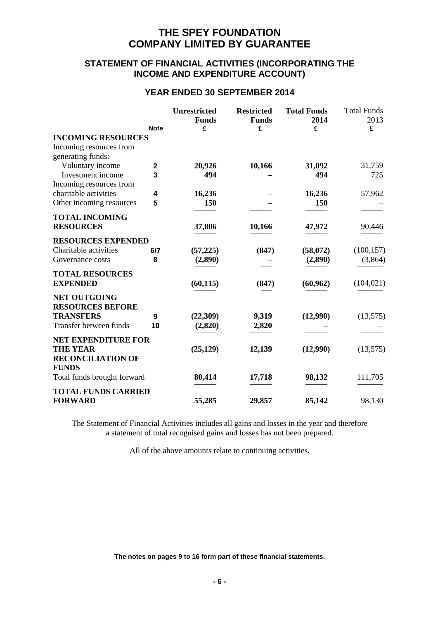### **STATEMENT OF FINANCIAL ACTIVITIES (INCORPORATING THE INCOME AND EXPENDITURE ACCOUNT)**

### **YEAR ENDED 30 SEPTEMBER 2014**

|                                           | <b>Note</b> | <b>Unrestricted</b><br><b>Funds</b><br>£ | <b>Restricted</b><br><b>Funds</b><br>£ | <b>Total Funds</b><br>2014<br>£ | <b>Total Funds</b><br>2013<br>$\pounds$ |
|-------------------------------------------|-------------|------------------------------------------|----------------------------------------|---------------------------------|-----------------------------------------|
| <b>INCOMING RESOURCES</b>                 |             |                                          |                                        |                                 |                                         |
| Incoming resources from                   |             |                                          |                                        |                                 |                                         |
| generating funds:                         |             |                                          |                                        |                                 |                                         |
| Voluntary income                          | $\mathbf 2$ | 20,926                                   | 10,166                                 | 31,092                          | 31,759                                  |
| Investment income                         | 3           | 494                                      |                                        | 494                             | 725                                     |
| Incoming resources from                   |             |                                          |                                        |                                 |                                         |
| charitable activities                     | 4           | 16,236                                   |                                        | 16,236                          | 57,962                                  |
| Other incoming resources                  | 5           | 150                                      |                                        | 150                             |                                         |
| <b>TOTAL INCOMING</b>                     |             |                                          |                                        |                                 |                                         |
| <b>RESOURCES</b>                          |             | 37,806                                   | 10,166                                 | 47,972                          | 90,446                                  |
| <b>RESOURCES EXPENDED</b>                 |             |                                          |                                        |                                 |                                         |
| Charitable activities                     | 6/7         | (57, 225)                                | (847)                                  | (58,072)                        | (100, 157)                              |
| Governance costs                          | 8           | (2,890)                                  |                                        | (2,890)                         | (3,864)                                 |
|                                           |             |                                          |                                        |                                 |                                         |
| <b>TOTAL RESOURCES</b><br><b>EXPENDED</b> |             | (60, 115)                                | (847)                                  | (60, 962)                       | (104, 021)                              |
|                                           |             |                                          |                                        |                                 |                                         |
| <b>NET OUTGOING</b>                       |             |                                          |                                        |                                 |                                         |
| <b>RESOURCES BEFORE</b>                   |             |                                          |                                        |                                 |                                         |
| <b>TRANSFERS</b>                          | 9           | (22,309)                                 | 9,319                                  | (12,990)                        | (13,575)                                |
| Transfer between funds                    | 10          | (2,820)                                  | 2,820                                  |                                 |                                         |
| <b>NET EXPENDITURE FOR</b>                |             |                                          |                                        |                                 |                                         |
| <b>THE YEAR</b>                           |             | (25, 129)                                | 12,139                                 | (12,990)                        | (13,575)                                |
| <b>RECONCILIATION OF</b>                  |             |                                          |                                        |                                 |                                         |
| <b>FUNDS</b>                              |             |                                          |                                        |                                 |                                         |
| Total funds brought forward               |             | 80,414                                   | 17,718                                 | 98,132                          | 111,705                                 |
| <b>TOTAL FUNDS CARRIED</b>                |             |                                          |                                        |                                 |                                         |
| <b>FORWARD</b>                            |             | 55,285                                   | 29,857                                 | 85,142                          | 98,130                                  |
|                                           |             |                                          |                                        |                                 |                                         |

The Statement of Financial Activities includes all gains and losses in the year and therefore a statement of total recognised gains and losses has not been prepared.

All of the above amounts relate to continuing activities.

**The notes on pages 9 to 16 form part of these financial statements.**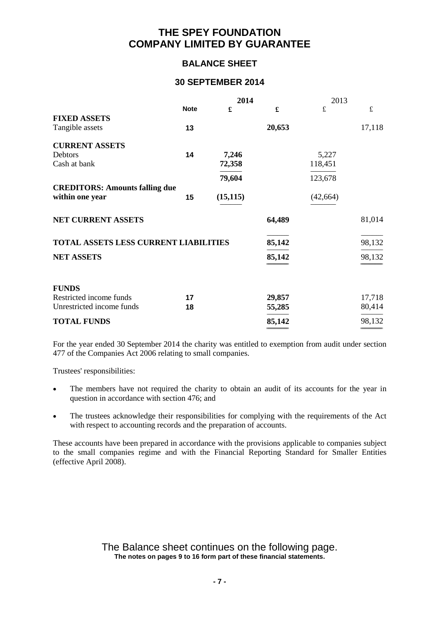### **BALANCE SHEET**

### **30 SEPTEMBER 2014**

|                                              |             | 2014      |                      | 2013        |        |
|----------------------------------------------|-------------|-----------|----------------------|-------------|--------|
|                                              | <b>Note</b> | £         | $\pmb{\mathfrak{L}}$ | $\mathbf f$ | £      |
| <b>FIXED ASSETS</b>                          |             |           |                      |             |        |
| Tangible assets                              | 13          |           | 20,653               |             | 17,118 |
| <b>CURRENT ASSETS</b>                        |             |           |                      |             |        |
| Debtors                                      | 14          | 7,246     |                      | 5,227       |        |
| Cash at bank                                 |             | 72,358    |                      | 118,451     |        |
|                                              |             | 79,604    |                      | 123,678     |        |
| <b>CREDITORS: Amounts falling due</b>        |             |           |                      |             |        |
| within one year                              | 15          | (15, 115) |                      | (42, 664)   |        |
| NET CURRENT ASSETS                           |             |           | 64,489               |             | 81,014 |
| <b>TOTAL ASSETS LESS CURRENT LIABILITIES</b> |             |           | 85,142               |             | 98,132 |
| <b>NET ASSETS</b>                            |             |           | 85,142               |             | 98,132 |
|                                              |             |           |                      |             |        |
| <b>FUNDS</b>                                 |             |           |                      |             |        |
| Restricted income funds                      | 17          |           | 29,857               |             | 17,718 |
| Unrestricted income funds                    | 18          |           | 55,285               |             | 80,414 |
| <b>TOTAL FUNDS</b>                           |             |           | 85,142               |             | 98,132 |
|                                              |             |           |                      |             |        |

For the year ended 30 September 2014 the charity was entitled to exemption from audit under section 477 of the Companies Act 2006 relating to small companies.

Trustees' responsibilities:

- The members have not required the charity to obtain an audit of its accounts for the year in question in accordance with section 476; and
- The trustees acknowledge their responsibilities for complying with the requirements of the Act with respect to accounting records and the preparation of accounts.

These accounts have been prepared in accordance with the provisions applicable to companies subject to the small companies regime and with the Financial Reporting Standard for Smaller Entities (effective April 2008).

> The Balance sheet continues on the following page. **The notes on pages 9 to 16 form part of these financial statements.**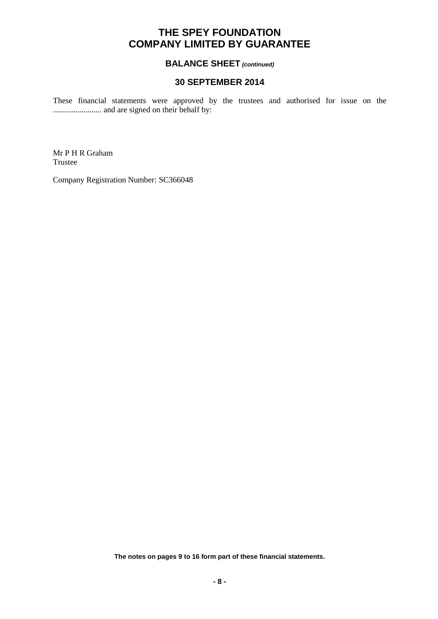### **BALANCE SHEET** *(continued)*

### **30 SEPTEMBER 2014**

These financial statements were approved by the trustees and authorised for issue on the ........................ and are signed on their behalf by:

Mr P H R Graham Trustee

Company Registration Number: SC366048

**The notes on pages 9 to 16 form part of these financial statements.**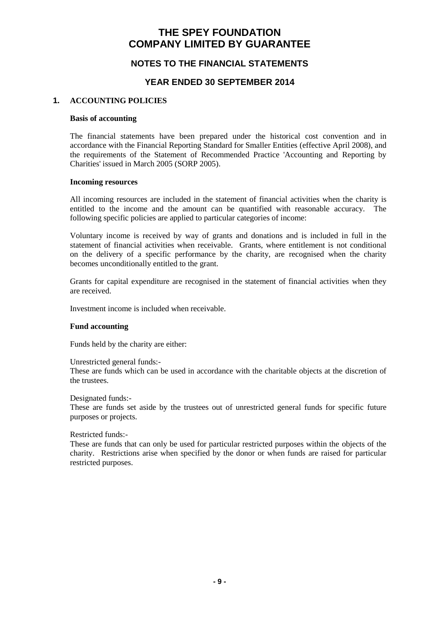### **NOTES TO THE FINANCIAL STATEMENTS**

### **YEAR ENDED 30 SEPTEMBER 2014**

#### **1. ACCOUNTING POLICIES**

#### **Basis of accounting**

The financial statements have been prepared under the historical cost convention and in accordance with the Financial Reporting Standard for Smaller Entities (effective April 2008), and the requirements of the Statement of Recommended Practice 'Accounting and Reporting by Charities' issued in March 2005 (SORP 2005).

#### **Incoming resources**

All incoming resources are included in the statement of financial activities when the charity is entitled to the income and the amount can be quantified with reasonable accuracy. The following specific policies are applied to particular categories of income:

Voluntary income is received by way of grants and donations and is included in full in the statement of financial activities when receivable. Grants, where entitlement is not conditional on the delivery of a specific performance by the charity, are recognised when the charity becomes unconditionally entitled to the grant.

Grants for capital expenditure are recognised in the statement of financial activities when they are received.

Investment income is included when receivable.

#### **Fund accounting**

Funds held by the charity are either:

Unrestricted general funds:-

These are funds which can be used in accordance with the charitable objects at the discretion of the trustees.

Designated funds:-

These are funds set aside by the trustees out of unrestricted general funds for specific future purposes or projects.

Restricted funds:-

These are funds that can only be used for particular restricted purposes within the objects of the charity. Restrictions arise when specified by the donor or when funds are raised for particular restricted purposes.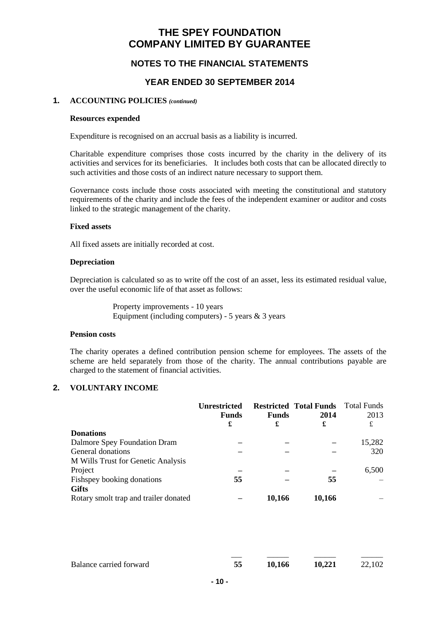### **NOTES TO THE FINANCIAL STATEMENTS**

### **YEAR ENDED 30 SEPTEMBER 2014**

#### **1. ACCOUNTING POLICIES** *(continued)*

#### **Resources expended**

Expenditure is recognised on an accrual basis as a liability is incurred.

Charitable expenditure comprises those costs incurred by the charity in the delivery of its activities and services for its beneficiaries. It includes both costs that can be allocated directly to such activities and those costs of an indirect nature necessary to support them.

Governance costs include those costs associated with meeting the constitutional and statutory requirements of the charity and include the fees of the independent examiner or auditor and costs linked to the strategic management of the charity.

#### **Fixed assets**

All fixed assets are initially recorded at cost.

#### **Depreciation**

Depreciation is calculated so as to write off the cost of an asset, less its estimated residual value, over the useful economic life of that asset as follows:

> Property improvements - 10 years Equipment (including computers) - 5 years  $\&$  3 years

#### **Pension costs**

The charity operates a defined contribution pension scheme for employees. The assets of the scheme are held separately from those of the charity. The annual contributions payable are charged to the statement of financial activities.

#### **2. VOLUNTARY INCOME**

|                                       | Unrestricted<br><b>Funds</b><br>£ | <b>Funds</b><br>£ | <b>Restricted Total Funds</b> Total Funds<br>2014<br>£ | 2013<br>£ |
|---------------------------------------|-----------------------------------|-------------------|--------------------------------------------------------|-----------|
| <b>Donations</b>                      |                                   |                   |                                                        |           |
| Dalmore Spey Foundation Dram          |                                   |                   |                                                        | 15,282    |
| General donations                     |                                   |                   |                                                        | 320       |
| M Wills Trust for Genetic Analysis    |                                   |                   |                                                        |           |
| Project                               |                                   |                   |                                                        | 6,500     |
| Fishspey booking donations            | 55                                |                   | 55                                                     |           |
| <b>Gifts</b>                          |                                   |                   |                                                        |           |
| Rotary smolt trap and trailer donated |                                   | 10,166            | 10,166                                                 |           |

| Balance carried forward | 10,166 | 10,221 | 22,102 |
|-------------------------|--------|--------|--------|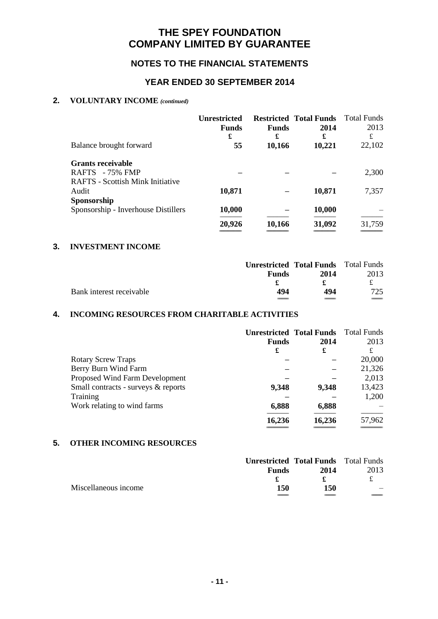### **NOTES TO THE FINANCIAL STATEMENTS**

### **YEAR ENDED 30 SEPTEMBER 2014**

### **2. VOLUNTARY INCOME** *(continued)*

|                                         | <b>Unrestricted</b><br><b>Funds</b><br>£ | <b>Funds</b><br>£ | <b>Restricted Total Funds</b><br>2014<br>£ | Total Funds<br>2013<br>£ |
|-----------------------------------------|------------------------------------------|-------------------|--------------------------------------------|--------------------------|
| Balance brought forward                 | 55                                       | 10,166            | 10,221                                     | 22,102                   |
| <b>Grants receivable</b>                |                                          |                   |                                            |                          |
| RAFTS $-75%$ FMP                        |                                          |                   |                                            | 2,300                    |
| <b>RAFTS</b> - Scottish Mink Initiative |                                          |                   |                                            |                          |
| Audit                                   | 10,871                                   |                   | 10,871                                     | 7,357                    |
| Sponsorship                             |                                          |                   |                                            |                          |
| Sponsorship - Inverhouse Distillers     | 10,000                                   |                   | 10,000                                     |                          |
|                                         | 20,926                                   | 10,166            | 31,092                                     | 31,759                   |
|                                         |                                          |                   |                                            |                          |

### **3. INVESTMENT INCOME**

|                          |              | <b>Unrestricted Total Funds</b> Total Funds |      |
|--------------------------|--------------|---------------------------------------------|------|
|                          | <b>Funds</b> | 2014                                        | 2013 |
|                          |              |                                             | £.   |
| Bank interest receivable | 494          | 494                                         | 725  |
|                          |              |                                             |      |

### **4. INCOMING RESOURCES FROM CHARITABLE ACTIVITIES**

|                                     |              | <b>Unrestricted Total Funds</b> | Total Funds |
|-------------------------------------|--------------|---------------------------------|-------------|
|                                     | <b>Funds</b> | 2014                            | 2013        |
|                                     | £            | £                               | £           |
| <b>Rotary Screw Traps</b>           |              |                                 | 20,000      |
| Berry Burn Wind Farm                |              |                                 | 21,326      |
| Proposed Wind Farm Development      |              |                                 | 2,013       |
| Small contracts - surveys & reports | 9,348        | 9,348                           | 13,423      |
| Training                            |              |                                 | 1,200       |
| Work relating to wind farms         | 6,888        | 6,888                           |             |
|                                     | 16,236       | 16,236                          | 57,962      |

### **5. OTHER INCOMING RESOURCES**

|                      |              | <b>Unrestricted Total Funds</b> Total Funds |      |
|----------------------|--------------|---------------------------------------------|------|
|                      | <b>Funds</b> | 2014                                        | 2013 |
|                      |              |                                             | £    |
| Miscellaneous income | 150          | 150                                         |      |
|                      |              |                                             |      |

=============================== =============================== ===============================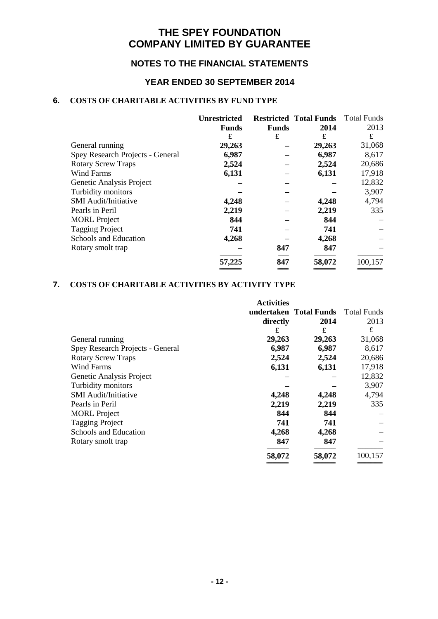### **NOTES TO THE FINANCIAL STATEMENTS**

### **YEAR ENDED 30 SEPTEMBER 2014**

### **6. COSTS OF CHARITABLE ACTIVITIES BY FUND TYPE**

|                                  | <b>Unrestricted</b> |              | <b>Restricted Total Funds</b> | <b>Total Funds</b> |
|----------------------------------|---------------------|--------------|-------------------------------|--------------------|
|                                  | <b>Funds</b>        | <b>Funds</b> | 2014                          | 2013               |
|                                  | £                   | £            | £                             | £                  |
| General running                  | 29,263              |              | 29,263                        | 31,068             |
| Spey Research Projects - General | 6,987               |              | 6,987                         | 8,617              |
| <b>Rotary Screw Traps</b>        | 2,524               |              | 2,524                         | 20,686             |
| <b>Wind Farms</b>                | 6,131               |              | 6,131                         | 17,918             |
| Genetic Analysis Project         |                     |              |                               | 12,832             |
| Turbidity monitors               |                     |              |                               | 3,907              |
| <b>SMI</b> Audit/Initiative      | 4,248               |              | 4,248                         | 4,794              |
| Pearls in Peril                  | 2,219               |              | 2,219                         | 335                |
| <b>MORL</b> Project              | 844                 |              | 844                           |                    |
| <b>Tagging Project</b>           | 741                 |              | 741                           |                    |
| Schools and Education            | 4,268               |              | 4,268                         |                    |
| Rotary smolt trap                |                     | 847          | 847                           |                    |
|                                  | 57,225              | 847          | 58,072                        | 100,157            |
|                                  |                     |              |                               |                    |

### **7. COSTS OF CHARITABLE ACTIVITIES BY ACTIVITY TYPE**

|                                  | <b>Activities</b> |                        |             |
|----------------------------------|-------------------|------------------------|-------------|
|                                  |                   | undertaken Total Funds | Total Funds |
|                                  | directly          | 2014                   | 2013        |
|                                  | £                 | £                      | £           |
| General running                  | 29,263            | 29,263                 | 31,068      |
| Spey Research Projects - General | 6,987             | 6,987                  | 8,617       |
| <b>Rotary Screw Traps</b>        | 2,524             | 2,524                  | 20,686      |
| <b>Wind Farms</b>                | 6,131             | 6,131                  | 17,918      |
| Genetic Analysis Project         |                   |                        | 12,832      |
| Turbidity monitors               |                   |                        | 3,907       |
| <b>SMI</b> Audit/Initiative      | 4,248             | 4,248                  | 4,794       |
| Pearls in Peril                  | 2,219             | 2,219                  | 335         |
| <b>MORL</b> Project              | 844               | 844                    |             |
| <b>Tagging Project</b>           | 741               | 741                    |             |
| Schools and Education            | 4,268             | 4,268                  |             |
| Rotary smolt trap                | 847               | 847                    |             |
|                                  | 58,072            | 58,072                 | 100,157     |

=============================== =============================== ====================================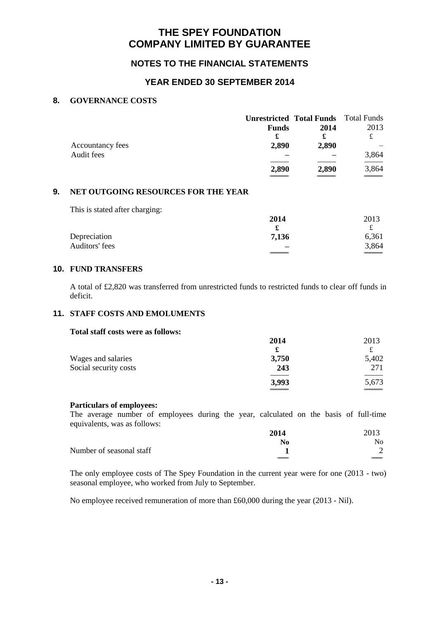### **NOTES TO THE FINANCIAL STATEMENTS**

### **YEAR ENDED 30 SEPTEMBER 2014**

#### **8. GOVERNANCE COSTS**

|                  |              | <b>Unrestricted Total Funds</b> Total Funds |       |
|------------------|--------------|---------------------------------------------|-------|
|                  | <b>Funds</b> | 2014                                        | 2013  |
|                  | £            | £                                           | £     |
| Accountancy fees | 2,890        | 2,890                                       |       |
| Audit fees       |              |                                             | 3,864 |
|                  | 2,890        | 2,890                                       | 3,864 |
|                  |              |                                             |       |

### **9. NET OUTGOING RESOURCES FOR THE YEAR**

This is stated after charging:

|                | 2014                     | 2013  |
|----------------|--------------------------|-------|
|                |                          |       |
| Depreciation   | 7,136                    | 6,361 |
| Auditors' fees | $\overline{\phantom{a}}$ | 3,864 |
|                |                          |       |

#### **10. FUND TRANSFERS**

A total of £2,820 was transferred from unrestricted funds to restricted funds to clear off funds in deficit.

### **11. STAFF COSTS AND EMOLUMENTS**

#### **Total staff costs were as follows:**

|                       | 2014  | 2013          |
|-----------------------|-------|---------------|
|                       |       |               |
| Wages and salaries    | 3,750 | 5,402         |
| Social security costs | 243   | 271           |
|                       | 3,993 | 5,673         |
|                       |       | $\frac{1}{2}$ |

#### **Particulars of employees:**

The average number of employees during the year, calculated on the basis of full-time equivalents, was as follows:

|                          | 2014                     | 2013 |
|--------------------------|--------------------------|------|
|                          | No                       | No   |
| Number of seasonal staff |                          |      |
|                          | $\overline{\phantom{a}}$ |      |

The only employee costs of The Spey Foundation in the current year were for one (2013 - two) seasonal employee, who worked from July to September.

No employee received remuneration of more than £60,000 during the year (2013 - Nil).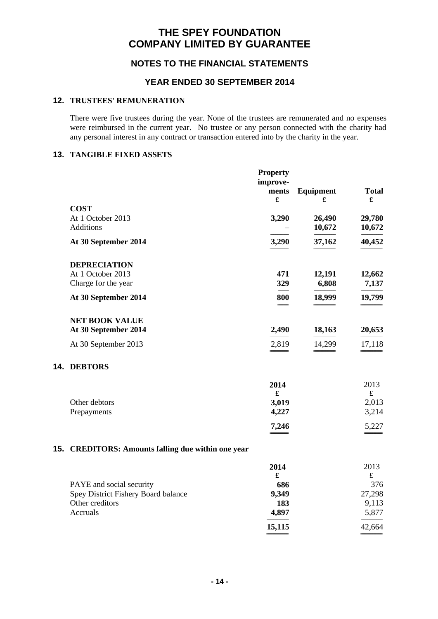### **NOTES TO THE FINANCIAL STATEMENTS**

### **YEAR ENDED 30 SEPTEMBER 2014**

### **12. TRUSTEES' REMUNERATION**

There were five trustees during the year. None of the trustees are remunerated and no expenses were reimbursed in the current year. No trustee or any person connected with the charity had any personal interest in any contract or transaction entered into by the charity in the year.

#### **13. TANGIBLE FIXED ASSETS**

|                                                    | <b>Property</b><br>improve-<br>ments | <b>Equipment</b> | <b>Total</b>      |
|----------------------------------------------------|--------------------------------------|------------------|-------------------|
| <b>COST</b>                                        | £                                    | £                | £                 |
| At 1 October 2013<br>Additions                     | 3,290                                | 26,490<br>10,672 | 29,780<br>10,672  |
| At 30 September 2014                               | 3,290                                | 37,162           | 40,452            |
| <b>DEPRECIATION</b>                                |                                      |                  |                   |
| At 1 October 2013<br>Charge for the year           | 471<br>329                           | 12,191<br>6,808  | 12,662<br>7,137   |
| At 30 September 2014                               | 800                                  | 18,999           | 19,799            |
| <b>NET BOOK VALUE</b><br>At 30 September 2014      | 2,490                                | 18,163           | 20,653            |
| At 30 September 2013                               | 2,819                                | 14,299           | 17,118            |
| 14. DEBTORS                                        |                                      |                  |                   |
|                                                    | 2014<br>$\pmb{\mathfrak{L}}$         |                  | 2013<br>$\pounds$ |
| Other debtors<br>Prepayments                       | 3,019<br>4,227                       |                  | 2,013<br>3,214    |
|                                                    | 7,246                                |                  | 5,227             |
| 15. CREDITORS: Amounts falling due within one year |                                      |                  |                   |
|                                                    | 2014<br>£                            |                  | 2013<br>$\pounds$ |
| PAYE and social security                           | 686                                  |                  | 376               |
| Spey District Fishery Board balance                | 9,349                                |                  | 27,298            |
| Other creditors                                    | 183                                  |                  | 9,113             |
| Accruals                                           | 4,897                                |                  | 5,877             |
|                                                    | 15,115                               |                  | 42,664            |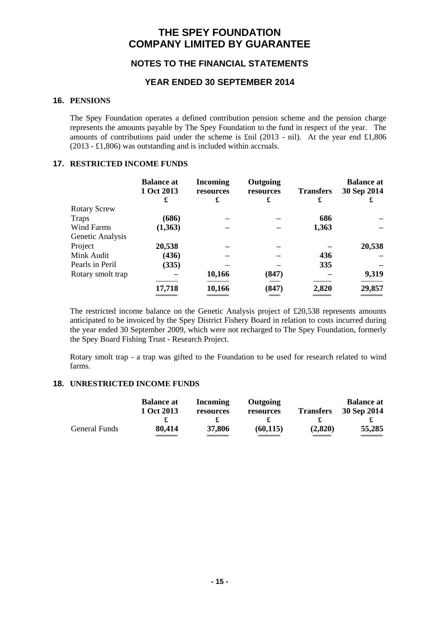### **NOTES TO THE FINANCIAL STATEMENTS**

### **YEAR ENDED 30 SEPTEMBER 2014**

#### **16. PENSIONS**

The Spey Foundation operates a defined contribution pension scheme and the pension charge represents the amounts payable by The Spey Foundation to the fund in respect of the year. The amounts of contributions paid under the scheme is £nil (2013 - nil). At the year end £1,806 (2013 - £1,806) was outstanding and is included within accruals.

#### **17. RESTRICTED INCOME FUNDS**

|                     | <b>Balance at</b><br>1 Oct 2013<br>£ | <b>Incoming</b><br>resources<br>£ | Outgoing<br>resources<br>£ | <b>Transfers</b><br>£ | <b>Balance at</b><br>30 Sep 2014<br>£ |
|---------------------|--------------------------------------|-----------------------------------|----------------------------|-----------------------|---------------------------------------|
| <b>Rotary Screw</b> |                                      |                                   |                            |                       |                                       |
| <b>Traps</b>        | (686)                                |                                   |                            | 686                   |                                       |
| <b>Wind Farms</b>   | (1,363)                              |                                   |                            | 1,363                 |                                       |
| Genetic Analysis    |                                      |                                   |                            |                       |                                       |
| Project             | 20,538                               |                                   |                            |                       | 20,538                                |
| Mink Audit          | (436)                                |                                   |                            | 436                   |                                       |
| Pearls in Peril     | (335)                                |                                   |                            | 335                   |                                       |
| Rotary smolt trap   |                                      | 10,166                            | (847)                      |                       | 9,319                                 |
|                     | 17,718                               | 10,166                            | (847)                      | 2,820                 | 29,857                                |
|                     |                                      |                                   | __                         |                       |                                       |

The restricted income balance on the Genetic Analysis project of £20,538 represents amounts anticipated to be invoiced by the Spey District Fishery Board in relation to costs incurred during the year ended 30 September 2009, which were not recharged to The Spey Foundation, formerly the Spey Board Fishing Trust - Research Project.

Rotary smolt trap - a trap was gifted to the Foundation to be used for research related to wind farms.

#### **18. UNRESTRICTED INCOME FUNDS**

|               | <b>Balance at</b><br>1 Oct 2013 | Incoming<br>resources | <b>Outgoing</b><br>resources | <b>Transfers</b> | <b>Balance at</b><br>30 Sep 2014 |
|---------------|---------------------------------|-----------------------|------------------------------|------------------|----------------------------------|
|               |                                 |                       |                              |                  |                                  |
| General Funds | 80,414                          | 37,806                | (60, 115)                    | (2,820)          | 55,285                           |
|               |                                 |                       |                              |                  |                                  |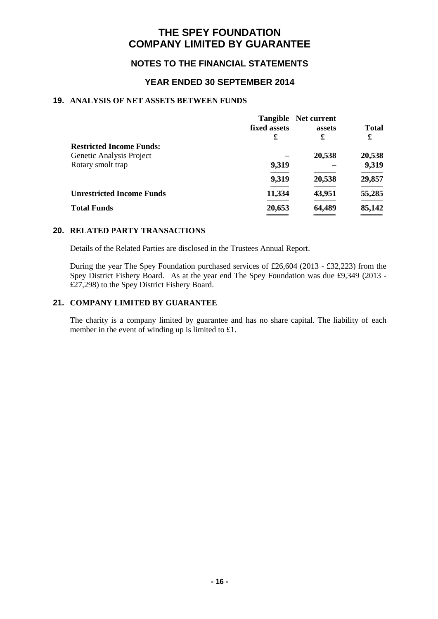### **NOTES TO THE FINANCIAL STATEMENTS**

### **YEAR ENDED 30 SEPTEMBER 2014**

### **19. ANALYSIS OF NET ASSETS BETWEEN FUNDS**

|                                  |              | <b>Tangible</b> Net current |              |
|----------------------------------|--------------|-----------------------------|--------------|
|                                  | fixed assets | assets                      | <b>Total</b> |
|                                  | £            | £                           | £            |
| <b>Restricted Income Funds:</b>  |              |                             |              |
| Genetic Analysis Project         |              | 20,538                      | 20,538       |
| Rotary smolt trap                | 9,319        |                             | 9,319        |
|                                  | 9,319        | 20,538                      | 29,857       |
| <b>Unrestricted Income Funds</b> | 11,334       | 43,951                      | 55,285       |
| <b>Total Funds</b>               | 20,653       | 64,489                      | 85,142       |
|                                  |              |                             |              |

#### **20. RELATED PARTY TRANSACTIONS**

Details of the Related Parties are disclosed in the Trustees Annual Report.

During the year The Spey Foundation purchased services of £26,604 (2013 - £32,223) from the Spey District Fishery Board. As at the year end The Spey Foundation was due £9,349 (2013 - £27,298) to the Spey District Fishery Board.

#### **21. COMPANY LIMITED BY GUARANTEE**

The charity is a company limited by guarantee and has no share capital. The liability of each member in the event of winding up is limited to £1.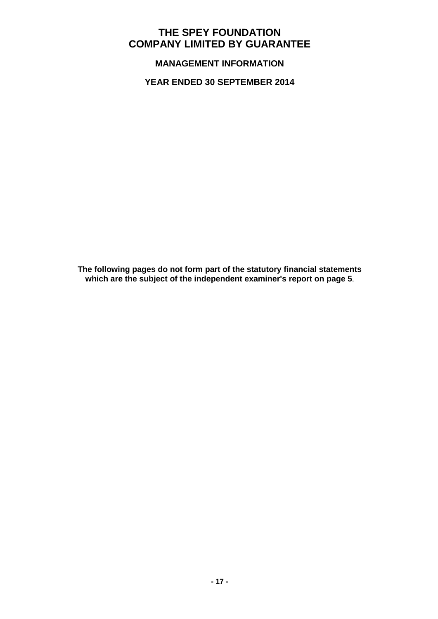**MANAGEMENT INFORMATION**

**YEAR ENDED 30 SEPTEMBER 2014**

**The following pages do not form part of the statutory financial statements which are the subject of the independent examiner's report on page 5**.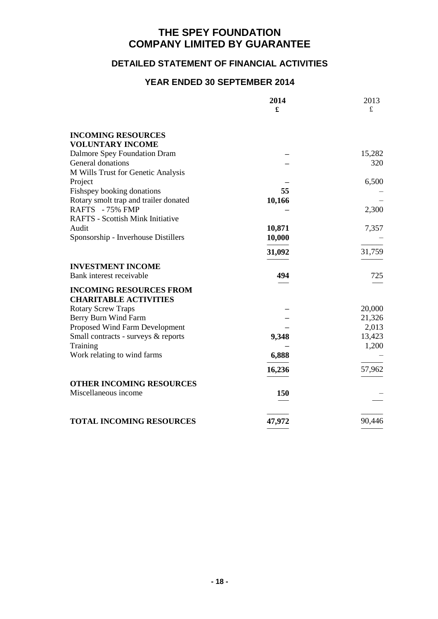### **DETAILED STATEMENT OF FINANCIAL ACTIVITIES**

|                                         | 2014       | 2013   |
|-----------------------------------------|------------|--------|
|                                         | £          | £      |
| <b>INCOMING RESOURCES</b>               |            |        |
| <b>VOLUNTARY INCOME</b>                 |            |        |
| Dalmore Spey Foundation Dram            |            | 15,282 |
| General donations                       |            | 320    |
| M Wills Trust for Genetic Analysis      |            |        |
| Project                                 |            | 6,500  |
| Fishspey booking donations              | 55         |        |
| Rotary smolt trap and trailer donated   | 10,166     |        |
| RAFTS - 75% FMP                         |            | 2,300  |
| <b>RAFTS - Scottish Mink Initiative</b> |            |        |
| Audit                                   | 10,871     | 7,357  |
| Sponsorship - Inverhouse Distillers     | 10,000     |        |
|                                         | 31,092     | 31,759 |
| <b>INVESTMENT INCOME</b>                |            |        |
| Bank interest receivable                | 494        | 725    |
| <b>INCOMING RESOURCES FROM</b>          |            |        |
| <b>CHARITABLE ACTIVITIES</b>            |            |        |
| <b>Rotary Screw Traps</b>               |            | 20,000 |
| Berry Burn Wind Farm                    |            | 21,326 |
| Proposed Wind Farm Development          |            | 2,013  |
| Small contracts - surveys & reports     | 9,348      | 13,423 |
| Training                                |            | 1,200  |
| Work relating to wind farms             | 6,888      |        |
|                                         | 16,236     | 57,962 |
| <b>OTHER INCOMING RESOURCES</b>         |            |        |
| Miscellaneous income                    | <b>150</b> |        |
|                                         |            |        |
| <b>TOTAL INCOMING RESOURCES</b>         | 47,972     | 90,446 |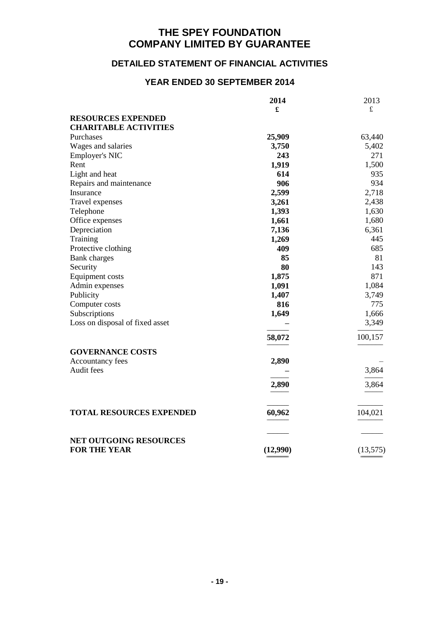### **DETAILED STATEMENT OF FINANCIAL ACTIVITIES**

|                                                      | 2014     | 2013      |
|------------------------------------------------------|----------|-----------|
|                                                      | £        | $\pounds$ |
| <b>RESOURCES EXPENDED</b>                            |          |           |
| <b>CHARITABLE ACTIVITIES</b>                         |          |           |
| Purchases                                            | 25,909   | 63,440    |
| Wages and salaries                                   | 3,750    | 5,402     |
| <b>Employer's NIC</b>                                | 243      | 271       |
| Rent                                                 | 1,919    | 1,500     |
| Light and heat                                       | 614      | 935       |
| Repairs and maintenance                              | 906      | 934       |
| Insurance                                            | 2,599    | 2,718     |
| Travel expenses                                      | 3,261    | 2,438     |
| Telephone                                            | 1,393    | 1,630     |
| Office expenses                                      | 1,661    | 1,680     |
| Depreciation                                         | 7,136    | 6,361     |
| Training                                             | 1,269    | 445       |
| Protective clothing                                  | 409      | 685       |
| <b>Bank</b> charges                                  | 85       | 81        |
| Security                                             | 80       | 143       |
| <b>Equipment costs</b>                               | 1,875    | 871       |
| Admin expenses                                       | 1,091    | 1,084     |
| Publicity                                            | 1,407    | 3,749     |
| Computer costs                                       | 816      | 775       |
| Subscriptions                                        | 1,649    | 1,666     |
| Loss on disposal of fixed asset                      |          | 3,349     |
|                                                      |          |           |
|                                                      | 58,072   | 100,157   |
| <b>GOVERNANCE COSTS</b>                              |          |           |
| Accountancy fees                                     | 2,890    |           |
| Audit fees                                           |          | 3,864     |
|                                                      |          |           |
|                                                      | 2,890    | 3,864     |
|                                                      |          |           |
|                                                      |          |           |
| <b>TOTAL RESOURCES EXPENDED</b>                      | 60,962   | 104,021   |
|                                                      |          |           |
|                                                      |          |           |
| <b>NET OUTGOING RESOURCES</b><br><b>FOR THE YEAR</b> |          |           |
|                                                      | (12,990) | (13, 575) |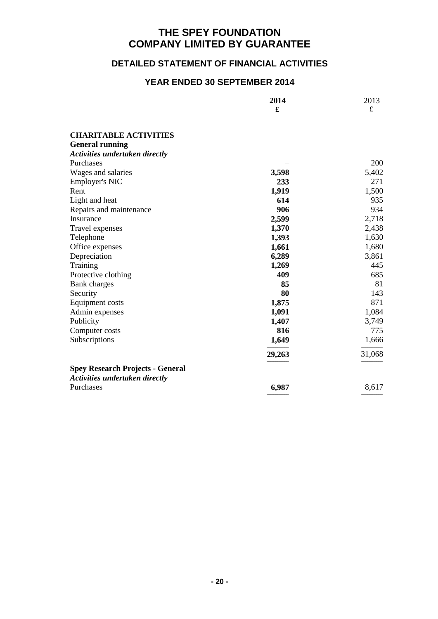### **DETAILED STATEMENT OF FINANCIAL ACTIVITIES**

|                                         | 2014   | 2013      |
|-----------------------------------------|--------|-----------|
|                                         | £      | $\pounds$ |
|                                         |        |           |
| <b>CHARITABLE ACTIVITIES</b>            |        |           |
| <b>General running</b>                  |        |           |
| <b>Activities undertaken directly</b>   |        |           |
| Purchases                               |        | 200       |
| Wages and salaries                      | 3,598  | 5,402     |
| <b>Employer's NIC</b>                   | 233    | 271       |
| Rent                                    | 1,919  | 1,500     |
| Light and heat                          | 614    | 935       |
| Repairs and maintenance                 | 906    | 934       |
| Insurance                               | 2,599  | 2,718     |
| Travel expenses                         | 1,370  | 2,438     |
| Telephone                               | 1,393  | 1,630     |
| Office expenses                         | 1,661  | 1,680     |
| Depreciation                            | 6,289  | 3,861     |
| Training                                | 1,269  | 445       |
| Protective clothing                     | 409    | 685       |
| Bank charges                            | 85     | 81        |
| Security                                | 80     | 143       |
| Equipment costs                         | 1,875  | 871       |
| Admin expenses                          | 1,091  | 1,084     |
| Publicity                               | 1,407  | 3,749     |
| Computer costs                          | 816    | 775       |
| Subscriptions                           | 1,649  | 1,666     |
|                                         | 29,263 | 31,068    |
| <b>Spey Research Projects - General</b> |        |           |
| <b>Activities undertaken directly</b>   |        |           |
| Purchases                               | 6,987  | 8,617     |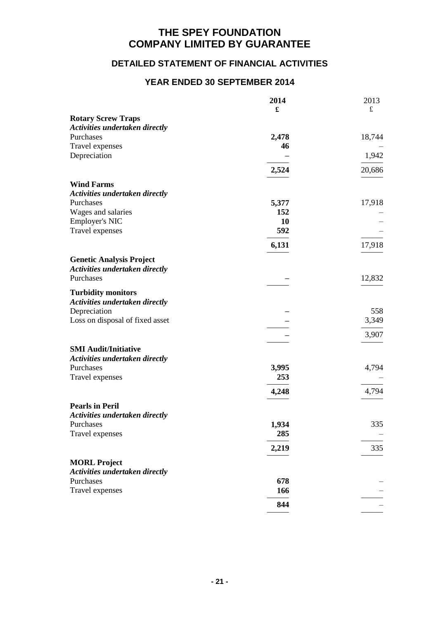# **DETAILED STATEMENT OF FINANCIAL ACTIVITIES**

|                                       | 2014         | 2013      |
|---------------------------------------|--------------|-----------|
|                                       | £            | $\pounds$ |
| <b>Rotary Screw Traps</b>             |              |           |
| <b>Activities undertaken directly</b> |              |           |
| Purchases                             | 2,478        | 18,744    |
| Travel expenses                       | 46           |           |
| Depreciation                          |              | 1,942     |
|                                       | 2,524        | 20,686    |
| <b>Wind Farms</b>                     |              |           |
| <b>Activities undertaken directly</b> |              |           |
| Purchases                             | 5,377        | 17,918    |
| Wages and salaries                    | 152          |           |
| Employer's NIC                        | <b>10</b>    |           |
| Travel expenses                       | 592          |           |
|                                       | 6,131        | 17,918    |
|                                       |              |           |
| <b>Genetic Analysis Project</b>       |              |           |
| <b>Activities undertaken directly</b> |              |           |
| Purchases                             |              | 12,832    |
| <b>Turbidity monitors</b>             |              |           |
| Activities undertaken directly        |              |           |
| Depreciation                          |              | 558       |
| Loss on disposal of fixed asset       |              | 3,349     |
|                                       |              | 3,907     |
|                                       |              |           |
| <b>SMI Audit/Initiative</b>           |              |           |
| Activities undertaken directly        |              |           |
| Purchases                             | 3,995<br>253 | 4,794     |
| Travel expenses                       |              |           |
|                                       | 4,248        | 4,794     |
| <b>Pearls in Peril</b>                |              |           |
| Activities undertaken directly        |              |           |
| Purchases                             | 1,934        | 335       |
| Travel expenses                       | 285          |           |
|                                       |              |           |
|                                       | 2,219        | 335       |
| <b>MORL Project</b>                   |              |           |
| Activities undertaken directly        |              |           |
| Purchases                             | 678          |           |
| Travel expenses                       | 166          |           |
|                                       | 844          |           |
|                                       |              |           |